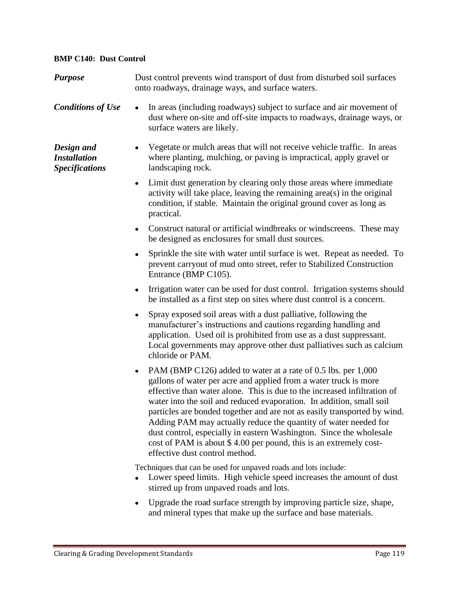## **BMP C140: Dust Control**

| <b>Purpose</b>                                             | Dust control prevents wind transport of dust from disturbed soil surfaces<br>onto roadways, drainage ways, and surface waters.                                                                                                                                                                                                                                                                                                                                                                                                                                                                                          |
|------------------------------------------------------------|-------------------------------------------------------------------------------------------------------------------------------------------------------------------------------------------------------------------------------------------------------------------------------------------------------------------------------------------------------------------------------------------------------------------------------------------------------------------------------------------------------------------------------------------------------------------------------------------------------------------------|
| <b>Conditions of Use</b>                                   | In areas (including roadways) subject to surface and air movement of<br>dust where on-site and off-site impacts to roadways, drainage ways, or<br>surface waters are likely.                                                                                                                                                                                                                                                                                                                                                                                                                                            |
| Design and<br><b>Installation</b><br><b>Specifications</b> | Vegetate or mulch areas that will not receive vehicle traffic. In areas<br>٠<br>where planting, mulching, or paving is impractical, apply gravel or<br>landscaping rock.                                                                                                                                                                                                                                                                                                                                                                                                                                                |
|                                                            | Limit dust generation by clearing only those areas where immediate<br>$\bullet$<br>activity will take place, leaving the remaining area(s) in the original<br>condition, if stable. Maintain the original ground cover as long as<br>practical.                                                                                                                                                                                                                                                                                                                                                                         |
|                                                            | Construct natural or artificial windbreaks or windscreens. These may<br>be designed as enclosures for small dust sources.                                                                                                                                                                                                                                                                                                                                                                                                                                                                                               |
|                                                            | Sprinkle the site with water until surface is wet. Repeat as needed. To<br>prevent carryout of mud onto street, refer to Stabilized Construction<br>Entrance (BMP C105).                                                                                                                                                                                                                                                                                                                                                                                                                                                |
|                                                            | Irrigation water can be used for dust control. Irrigation systems should<br>$\bullet$<br>be installed as a first step on sites where dust control is a concern.                                                                                                                                                                                                                                                                                                                                                                                                                                                         |
|                                                            | Spray exposed soil areas with a dust palliative, following the<br>٠<br>manufacturer's instructions and cautions regarding handling and<br>application. Used oil is prohibited from use as a dust suppressant.<br>Local governments may approve other dust palliatives such as calcium<br>chloride or PAM.                                                                                                                                                                                                                                                                                                               |
|                                                            | PAM (BMP C126) added to water at a rate of 0.5 lbs. per 1,000<br>٠<br>gallons of water per acre and applied from a water truck is more<br>effective than water alone. This is due to the increased infiltration of<br>water into the soil and reduced evaporation. In addition, small soil<br>particles are bonded together and are not as easily transported by wind.<br>Adding PAM may actually reduce the quantity of water needed for<br>dust control, especially in eastern Washington. Since the wholesale<br>cost of PAM is about \$4.00 per pound, this is an extremely cost-<br>effective dust control method. |
|                                                            | Techniques that can be used for unpaved roads and lots include:<br>Lower speed limits. High vehicle speed increases the amount of dust<br>stirred up from unpaved roads and lots.                                                                                                                                                                                                                                                                                                                                                                                                                                       |
|                                                            | Unorado the road surface strength by improving particle size shape                                                                                                                                                                                                                                                                                                                                                                                                                                                                                                                                                      |

Upgrade the road surface strength by improving particle size, shape, and mineral types that make up the surface and base materials.